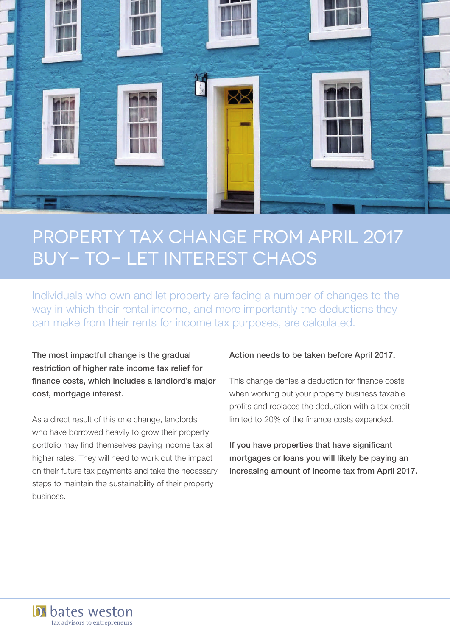

# Property tax change from April 2017 Buy- to- let interest chaos

Individuals who own and let property are facing a number of changes to the way in which their rental income, and more importantly the deductions they can make from their rents for income tax purposes, are calculated.

The most impactful change is the gradual restriction of higher rate income tax relief for finance costs, which includes a landlord's major cost, mortgage interest.

As a direct result of this one change, landlords who have borrowed heavily to grow their property portfolio may find themselves paying income tax at higher rates. They will need to work out the impact on their future tax payments and take the necessary steps to maintain the sustainability of their property business.

tax advisors to entrepreneurs

**D** bates weston

#### Action needs to be taken before April 2017.

This change denies a deduction for finance costs when working out your property business taxable profits and replaces the deduction with a tax credit limited to 20% of the finance costs expended.

If you have properties that have significant mortgages or loans you will likely be paying an increasing amount of income tax from April 2017.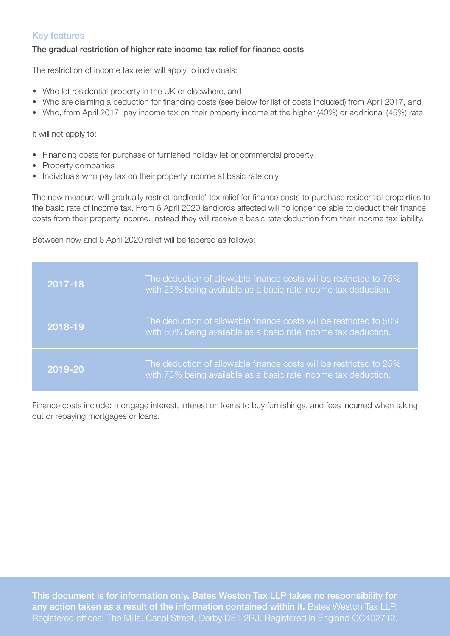### Key features

#### The gradual restriction of higher rate income tax relief for finance costs

The restriction of income tax relief will apply to individuals:

- Who let residential property in the UK or elsewhere, and
- Who are claiming a deduction for financing costs (see below for list of costs included) from April 2017, and
- Who, from April 2017, pay income tax on their property income at the higher (40%) or additional (45%) rate

It will not apply to:

- Financing costs for purchase of furnished holiday let or commercial property
- Property companies
- Individuals who pay tax on their property income at basic rate only

The new measure will gradually restrict landlords' tax relief for finance costs to purchase residential properties to the basic rate of income tax. From 6 April 2020 landlords affected will no longer be able to deduct their finance costs from their property income. Instead they will receive a basic rate deduction from their income tax liability.

Between now and 6 April 2020 relief will be tapered as follows:

| 2017-18 | The deduction of allowable finance costs will be restricted to 75%,<br>with 25% being available as a basic rate income tax deduction. |
|---------|---------------------------------------------------------------------------------------------------------------------------------------|
| 2018-19 | The deduction of allowable finance costs will be restricted to 50%,<br>with 50% being available as a basic rate income tax deduction. |
| 2019-20 | The deduction of allowable finance costs will be restricted to 25%,<br>with 75% being available as a basic rate income tax deduction. |

Finance costs include: mortgage interest, interest on loans to buy furnishings, and fees incurred when taking out or repaying mortgages or loans.

This document is for information only. Bates Weston Tax LLP takes no responsibility for any action taken as a result of the information contained within it. Bates Weston Tax LLP. Registered offices: The Mills, Canal Street, Derby DE1 2RJ. Registered in England OC402712.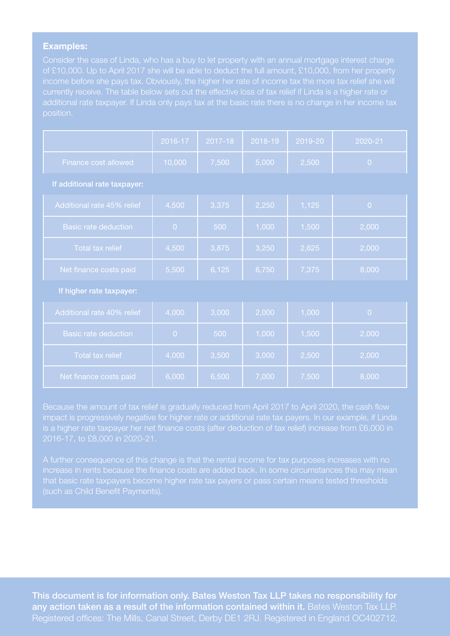#### Examples:

Consider the case of Linda, who has a buy to let property with an annual mortgage interest charge of £10,000. Up to April 2017 she will be able to deduct the full amount, £10,000, from her property position.

|                              | 2016-17        | 2017-18 | 2018-19 | 2019-20 | 2020-21        |  |
|------------------------------|----------------|---------|---------|---------|----------------|--|
| Finance cost allowed         | 10,000         | 7,500   | 5,000   | 2,500   | $\overline{0}$ |  |
| If additional rate taxpayer: |                |         |         |         |                |  |
| Additional rate 45% relief   | 4,500          | 3,375   | 2,250   | 1,125   | $\overline{0}$ |  |
| <b>Basic rate deduction</b>  | $\overline{0}$ | 500     | 1,000   | 1,500   | 2,000          |  |
| Total tax relief             | 4,500          | 3,875   | 3,250   | 2,625   | 2,000          |  |
| Net finance costs paid       | 5,500          | 6,125   | 6,750   | 7,375   | 8,000          |  |
| If higher rate taxpayer:     |                |         |         |         |                |  |
| Additional rate 40% relief   | 4,000          | 3,000   | 2,000   | 1,000   | $\overline{0}$ |  |
| <b>Basic rate deduction</b>  | $\overline{0}$ | 500     | 1,000   | 1,500   | 2,000          |  |
| Total tax relief             | 4,000          | 3,500   | 3,000   | 2,500   | 2,000          |  |
| Net finance costs paid       | 6,000          | 6,500   | 7,000   | 7,500   | 8,000          |  |

impact is progressively negative for higher rate or additional rate tax payers. In our example, if Linda is a higher rate taxpayer her net finance costs (after deduction of tax relief) increase from £6,000 in

A further consequence of this change is that the rental income for tax purposes increases with no

This document is for information only. Bates Weston Tax LLP takes no responsibility for any action taken as a result of the information contained within it. Bates Weston Tax LLP. Registered offices: The Mills, Canal Street, Derby DE1 2RJ. Registered in England OC402712.